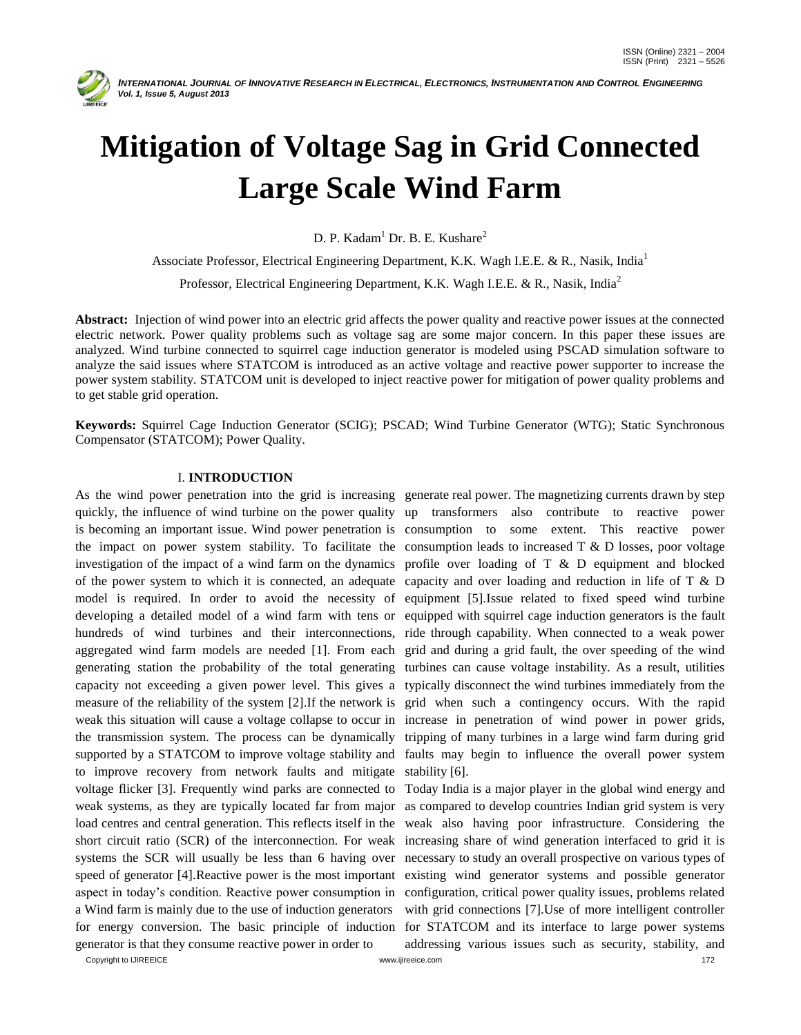

# **Mitigation of Voltage Sag in Grid Connected Large Scale Wind Farm**

D. P. Kadam<sup>1</sup> Dr. B. E. Kushare<sup>2</sup>

Associate Professor, Electrical Engineering Department, K.K. Wagh I.E.E. & R., Nasik, India<sup>1</sup> Professor, Electrical Engineering Department, K.K. Wagh I.E.E. & R., Nasik, India<sup>2</sup>

**Abstract:** Injection of wind power into an electric grid affects the power quality and reactive power issues at the connected electric network. Power quality problems such as voltage sag are some major concern. In this paper these issues are analyzed. Wind turbine connected to squirrel cage induction generator is modeled using PSCAD simulation software to analyze the said issues where STATCOM is introduced as an active voltage and reactive power supporter to increase the power system stability. STATCOM unit is developed to inject reactive power for mitigation of power quality problems and to get stable grid operation.

**Keywords:** Squirrel Cage Induction Generator (SCIG); PSCAD; Wind Turbine Generator (WTG); Static Synchronous Compensator (STATCOM); Power Quality.

## I. **INTRODUCTION**

to improve recovery from network faults and mitigate stability [6]. voltage flicker [3]. Frequently wind parks are connected to Today India is a major player in the global wind energy and weak systems, as they are typically located far from major as compared to develop countries Indian grid system is very load centres and central generation. This reflects itself in the weak also having poor infrastructure. Considering the short circuit ratio (SCR) of the interconnection. For weak increasing share of wind generation interfaced to grid it is systems the SCR will usually be less than 6 having over necessary to study an overall prospective on various types of speed of generator [4].Reactive power is the most important existing wind generator systems and possible generator aspect in today's condition. Reactive power consumption in configuration, critical power quality issues, problems related a Wind farm is mainly due to the use of induction generators for energy conversion. The basic principle of induction for STATCOM and its interface to large power systems generator is that they consume reactive power in order to

As the wind power penetration into the grid is increasing generate real power. The magnetizing currents drawn by step quickly, the influence of wind turbine on the power quality up transformers also contribute to reactive power is becoming an important issue. Wind power penetration is consumption to some extent. This reactive power the impact on power system stability. To facilitate the consumption leads to increased  $T \& D$  losses, poor voltage investigation of the impact of a wind farm on the dynamics profile over loading of  $T \& D$  equipment and blocked of the power system to which it is connected, an adequate capacity and over loading and reduction in life of T & D model is required. In order to avoid the necessity of equipment [5].Issue related to fixed speed wind turbine developing a detailed model of a wind farm with tens or equipped with squirrel cage induction generators is the fault hundreds of wind turbines and their interconnections, ride through capability. When connected to a weak power aggregated wind farm models are needed [1]. From each grid and during a grid fault, the over speeding of the wind generating station the probability of the total generating turbines can cause voltage instability. As a result, utilities capacity not exceeding a given power level. This gives a typically disconnect the wind turbines immediately from the measure of the reliability of the system [2].If the network is grid when such a contingency occurs. With the rapid weak this situation will cause a voltage collapse to occur in increase in penetration of wind power in power grids, the transmission system. The process can be dynamically tripping of many turbines in a large wind farm during grid supported by a STATCOM to improve voltage stability and faults may begin to influence the overall power system

> with grid connections [7]. Use of more intelligent controller addressing various issues such as security, stability, and

Copyright to IJIREEICE **the contract of the contract of the contract of the contract of the contract of the contract of the contract of the contract of the contract of the contract of the contract of the contract of the co**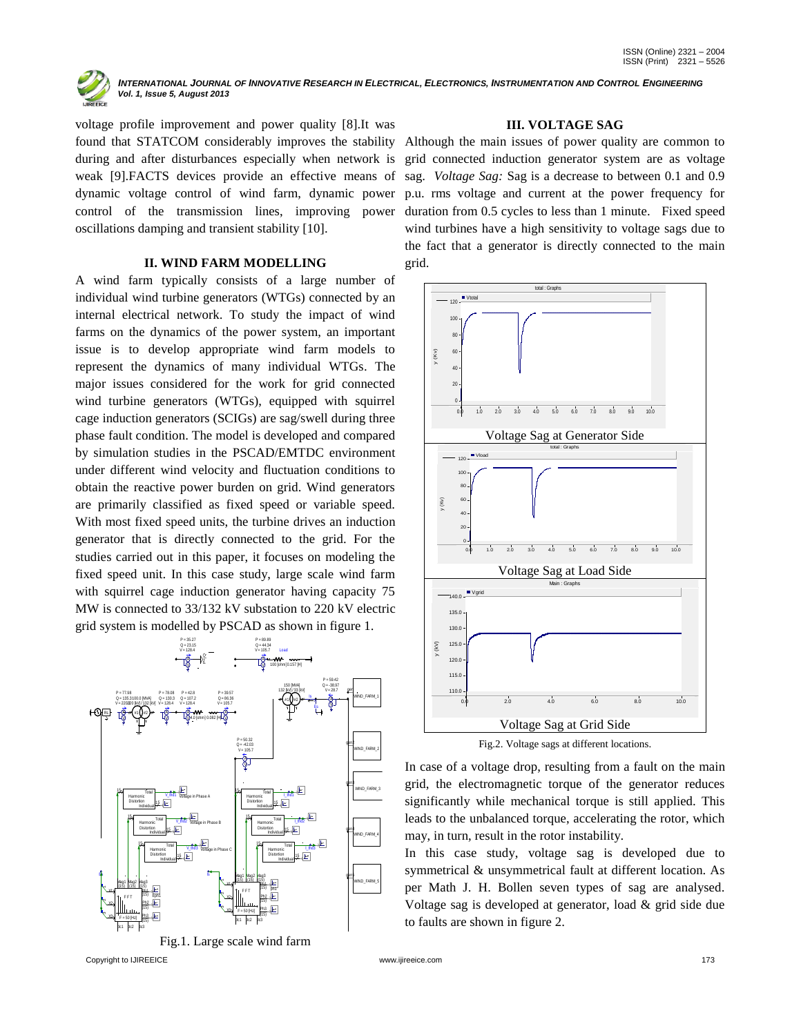

voltage profile improvement and power quality [8].It was found that STATCOM considerably improves the stability Although the main issues of power quality are common to during and after disturbances especially when network is weak [9].FACTS devices provide an effective means of dynamic voltage control of wind farm, dynamic power oscillations damping and transient stability [10].

## **II. WIND FARM MODELLING**

A wind farm typically consists of a large number of individual wind turbine generators (WTGs) connected by an internal electrical network. To study the impact of wind farms on the dynamics of the power system, an important issue is to develop appropriate wind farm models to represent the dynamics of many individual WTGs. The major issues considered for the work for grid connected wind turbine generators (WTGs), equipped with squirrel cage induction generators (SCIGs) are sag/swell during three phase fault condition. The model is developed and compared by simulation studies in the PSCAD/EMTDC environment under different wind velocity and fluctuation conditions to obtain the reactive power burden on grid. Wind generators are primarily classified as fixed speed or variable speed. With most fixed speed units, the turbine drives an induction generator that is directly connected to the grid. For the studies carried out in this paper, it focuses on modeling the fixed speed unit. In this case study, large scale wind farm with squirrel cage induction generator having capacity 75 MW is connected to 33/132 kV substation to 220 kV electric grid system is modelled by PSCAD as shown in figure 1.





### **III. VOLTAGE SAG**

control of the transmission lines, improving power duration from 0.5 cycles to less than 1 minute. Fixed speed grid connected induction generator system are as voltage sag. *Voltage Sag:* Sag is a decrease to between 0.1 and 0.9 p.u. rms voltage and current at the power frequency for wind turbines have a high sensitivity to voltage sags due to the fact that a generator is directly connected to the main grid.



Fig.2. Voltage sags at different locations.

In case of a voltage drop, resulting from a fault on the main grid, the electromagnetic torque of the generator reduces significantly while mechanical torque is still applied. This leads to the unbalanced torque, accelerating the rotor, which may, in turn, result in the rotor instability.

In this case study, voltage sag is developed due to symmetrical & unsymmetrical fault at different location. As per Math J. H. Bollen seven types of sag are analysed. Voltage sag is developed at generator, load & grid side due to faults are shown in figure 2.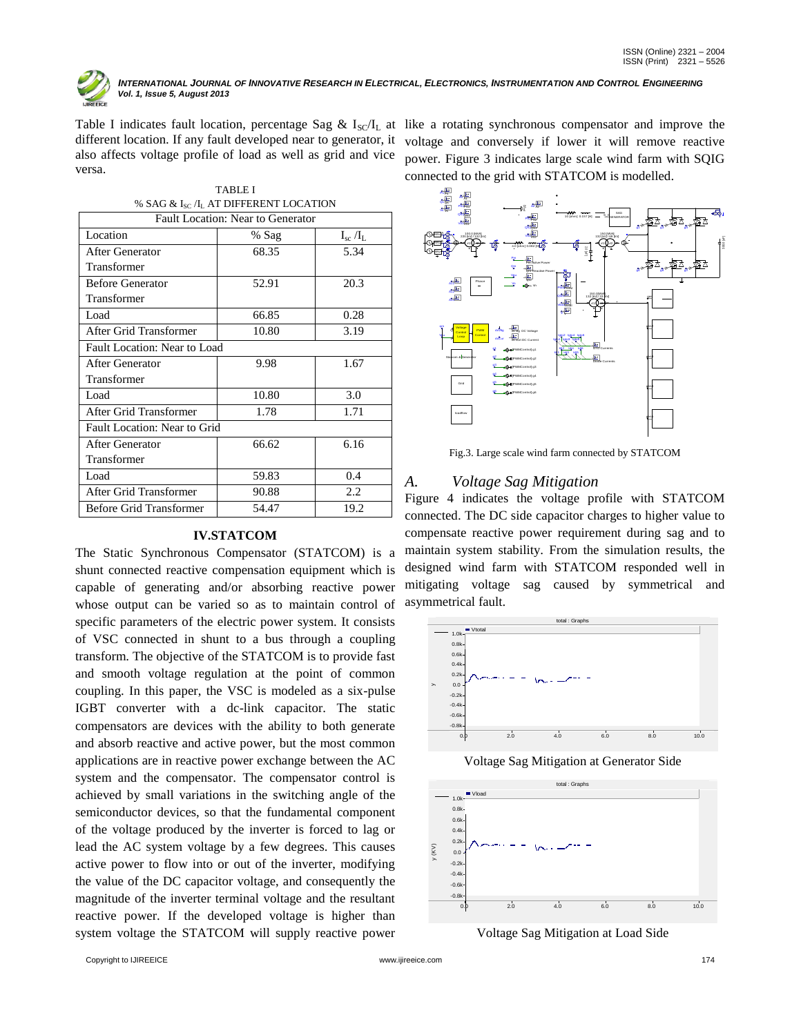

Table I indicates fault location, percentage Sag &  $I_{\text{SC}}/I_L$  at like a rotating synchronous compensator and improve the different location. If any fault developed near to generator, it also affects voltage profile of load as well as grid and vice versa.

| <b>TABLE I</b>                             |       |                  |  |  |
|--------------------------------------------|-------|------------------|--|--|
| % SAG & $I_{SC}/I_L$ AT DIFFERENT LOCATION |       |                  |  |  |
| <b>Fault Location: Near to Generator</b>   |       |                  |  |  |
| Location                                   | % Sag | $I_{sc}$ / $I_L$ |  |  |
| After Generator                            | 68.35 | 5.34             |  |  |
| Transformer                                |       |                  |  |  |
| <b>Before Generator</b>                    | 52.91 | 20.3             |  |  |
| Transformer                                |       |                  |  |  |
| Load                                       | 66.85 | 0.28             |  |  |
| After Grid Transformer                     | 10.80 | 3.19             |  |  |
| Fault Location: Near to Load               |       |                  |  |  |
| <b>After Generator</b>                     | 9.98  | 1.67             |  |  |
| Transformer                                |       |                  |  |  |
| Load                                       | 10.80 | 3.0              |  |  |
| After Grid Transformer                     | 1.78  | 1.71             |  |  |
| Fault Location: Near to Grid               |       |                  |  |  |
| <b>After Generator</b>                     | 66.62 | 6.16             |  |  |
| Transformer                                |       |                  |  |  |
| Load                                       | 59.83 | 0.4              |  |  |
| After Grid Transformer                     | 90.88 | 2.2              |  |  |
| <b>Before Grid Transformer</b>             | 54.47 | 19.2             |  |  |

# **IV.STATCOM**

The Static Synchronous Compensator (STATCOM) is a shunt connected reactive compensation equipment which is capable of generating and/or absorbing reactive power whose output can be varied so as to maintain control of specific parameters of the electric power system. It consists of VSC connected in shunt to a bus through a coupling transform. The objective of the STATCOM is to provide fast and smooth voltage regulation at the point of common coupling. In this paper, the VSC is modeled as a six-pulse IGBT converter with a dc-link capacitor. The static compensators are devices with the ability to both generate and absorb reactive and active power, but the most common applications are in reactive power exchange between the AC system and the compensator. The compensator control is achieved by small variations in the switching angle of the semiconductor devices, so that the fundamental component of the voltage produced by the inverter is forced to lag or lead the AC system voltage by a few degrees. This causes active power to flow into or out of the inverter, modifying the value of the DC capacitor voltage, and consequently the magnitude of the inverter terminal voltage and the resultant reactive power. If the developed voltage is higher than system voltage the STATCOM will supply reactive power

voltage and conversely if lower it will remove reactive power. Figure 3 indicates large scale wind farm with SQIG connected to the grid with STATCOM is modelled.



Fig.3. Large scale wind farm connected by STATCOM

# *A. Voltage Sag Mitigation*

Figure 4 indicates the voltage profile with STATCOM connected. The DC side capacitor charges to higher value to compensate reactive power requirement during sag and to maintain system stability. From the simulation results, the designed wind farm with STATCOM responded well in mitigating voltage sag caused by symmetrical and asymmetrical fault.



Voltage Sag Mitigation at Generator Side



Voltage Sag Mitigation at Load Side